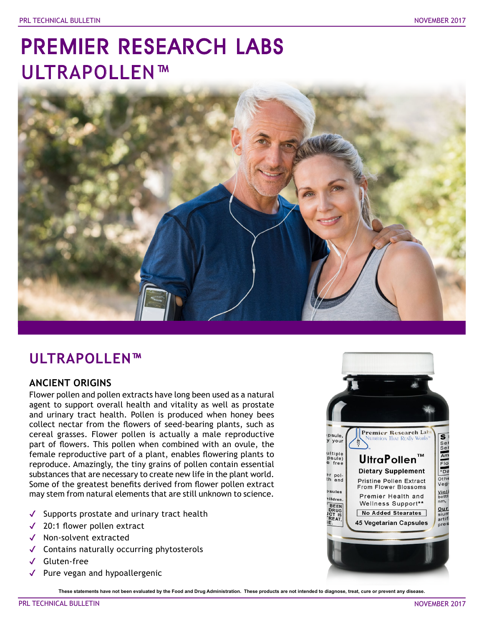# PREMIER RESEARCH LABS ULTRAPOLLEN™



## **ULTRAPOLLEN™**

### **ANCIENT ORIGINS**

Flower pollen and pollen extracts have long been used as a natural agent to support overall health and vitality as well as prostate and urinary tract health. Pollen is produced when honey bees collect nectar from the flowers of seed-bearing plants, such as cereal grasses. Flower pollen is actually a male reproductive part of flowers. This pollen when combined with an ovule, the female reproductive part of a plant, enables flowering plants to reproduce. Amazingly, the tiny grains of pollen contain essential substances that are necessary to create new life in the plant world. Some of the greatest benefits derived from flower pollen extract may stem from natural elements that are still unknown to science.

- ✔ Supports prostate and urinary tract health
- ✔ 20:1 flower pollen extract
- ✔ Non-solvent extracted
- ✔ Contains naturally occurring phytosterols
- ✔ Gluten-free
- Pure vegan and hypoallergenic

**These statements have not been evaluated by the Food and Drug Administration. These products are not intended to diagnose, treat, cure or prevent any disease.**

 $\bar{\mathbf{s}}$ 

Sel<br>Sel

 $Am$ 

Flo  $-$ Da

 $Oth \epsilon$ 

Veg

Violi<br>bottl

nm,

Our

artif

Premier Research Lab

**UltraPollen™** 

**Dietary Supplement** 

Pristine Pollen Extract

From Flower Blossoms

Premier Health and

Wellness Support\*\*

No Added Stearates

**45 Vegetarian Capsules** 

**UTRITION THAT REALLY WORKS** 

psule,

y your

ultiple<br>Psule)<br>e free

er pol-<br>th and

**Sules** 

lildren.

BEEN

 $\tilde{R}F$